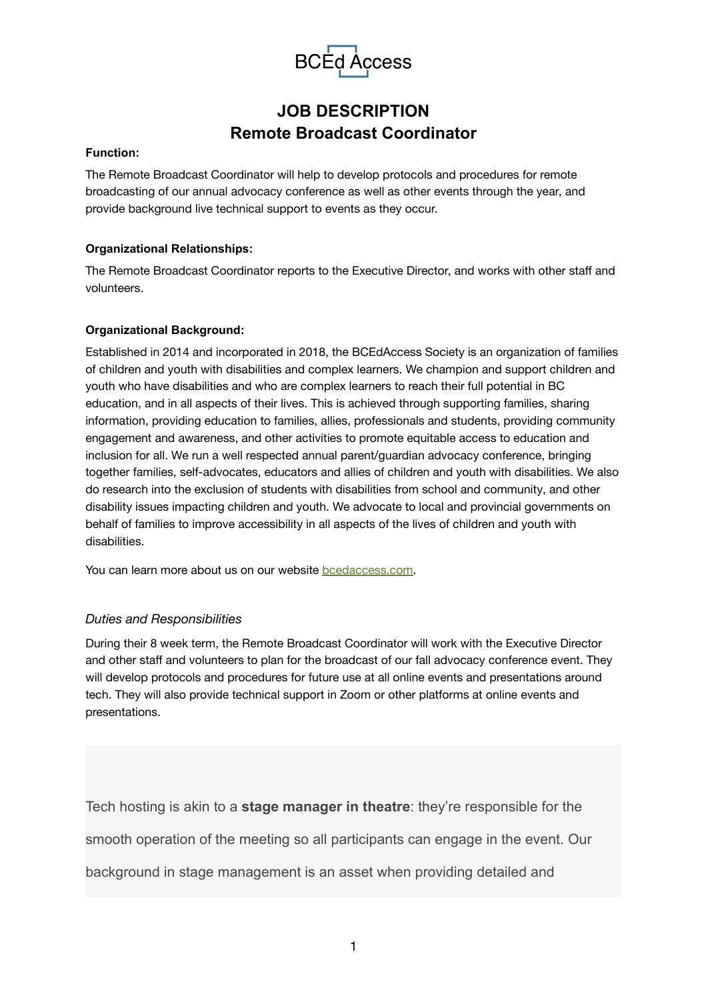

# **JOB DESCRIPTION Remote Broadcast Coordinator**

#### **Function:**

The Remote Broadcast Coordinator will help to develop protocols and procedures for remote broadcasting of our annual advocacy conference as well as other events through the year, and provide background live technical support to events as they occur.

# **Organizational Relationships:**

The Remote Broadcast Coordinator reports to the Executive Director, and works with other staff and volunteers.

#### **Organizational Background:**

Established in 2014 and incorporated in 2018, the BCEdAccess Society is an organization of families of children and youth with disabilities and complex learners. We champion and support children and youth who have disabilities and who are complex learners to reach their full potential in BC education, and in all aspects of their lives. This is achieved through supporting families, sharing information, providing education to families, allies, professionals and students, providing community engagement and awareness, and other activities to promote equitable access to education and inclusion for all. We run a well respected annual parent/guardian advocacy conference, bringing together families, self-advocates, educators and allies of children and youth with disabilities. We also do research into the exclusion of students with disabilities from school and community, and other disability issues impacting children and youth. We advocate to local and provincial governments on behalf of families to improve accessibility in all aspects of the lives of children and youth with disabilities.

You can learn more about us on our website [bcedaccess.com.](https://bcedaccess.com)

# *Duties and Responsibilities*

During their 8 week term, the Remote Broadcast Coordinator will work with the Executive Director and other staff and volunteers to plan for the broadcast of our fall advocacy conference event. They will develop protocols and procedures for future use at all online events and presentations around tech. They will also provide technical support in Zoom or other platforms at online events and presentations.

Tech hosting is akin to a **stage manager in theatre**: they're responsible for the smooth operation of the meeting so all participants can engage in the event. Our background in stage management is an asset when providing detailed and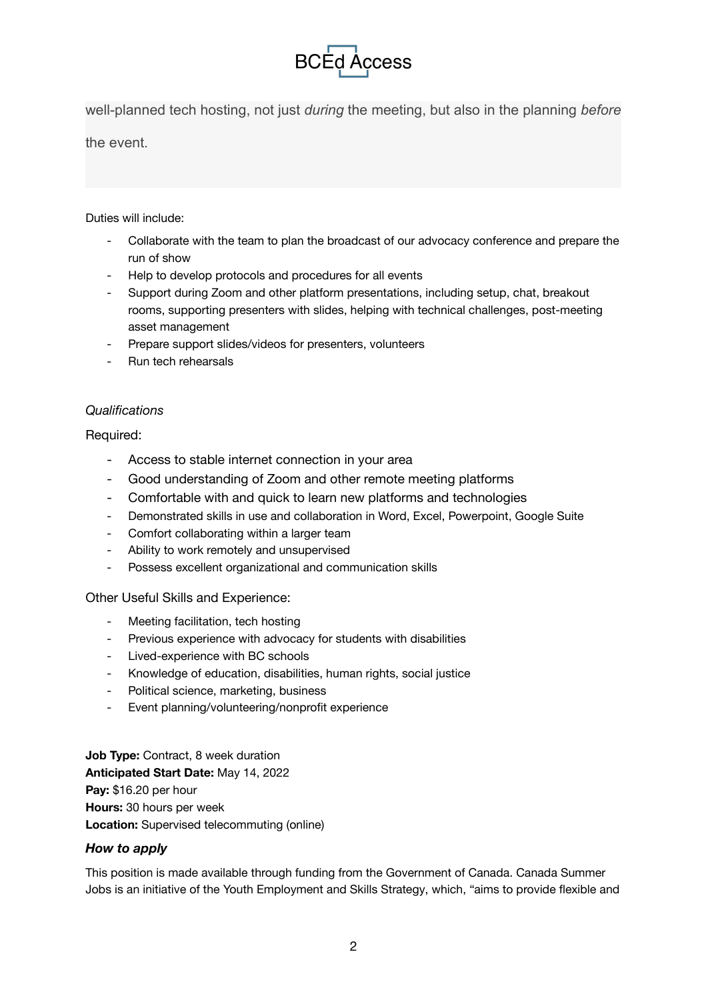

well-planned tech hosting, not just *during* the meeting, but also in the planning *before*

the event.

Duties will include:

- Collaborate with the team to plan the broadcast of our advocacy conference and prepare the run of show
- Help to develop protocols and procedures for all events
- Support during Zoom and other platform presentations, including setup, chat, breakout rooms, supporting presenters with slides, helping with technical challenges, post-meeting asset management
- Prepare support slides/videos for presenters, volunteers
- Run tech rehearsals

# *Qualifications*

Required:

- Access to stable internet connection in your area
- Good understanding of Zoom and other remote meeting platforms
- Comfortable with and quick to learn new platforms and technologies
- Demonstrated skills in use and collaboration in Word, Excel, Powerpoint, Google Suite
- Comfort collaborating within a larger team
- Ability to work remotely and unsupervised
- Possess excellent organizational and communication skills

Other Useful Skills and Experience:

- Meeting facilitation, tech hosting
- Previous experience with advocacy for students with disabilities
- Lived-experience with BC schools
- Knowledge of education, disabilities, human rights, social justice
- Political science, marketing, business
- Event planning/volunteering/nonprofit experience

**Job Type:** Contract, 8 week duration **Anticipated Start Date:** May 14, 2022 **Pay:** \$16.20 per hour **Hours:** 30 hours per week **Location:** Supervised telecommuting (online)

# *How to apply*

This position is made available through funding from the Government of Canada. Canada Summer Jobs is an initiative of the Youth Employment and Skills Strategy, which, "aims to provide flexible and